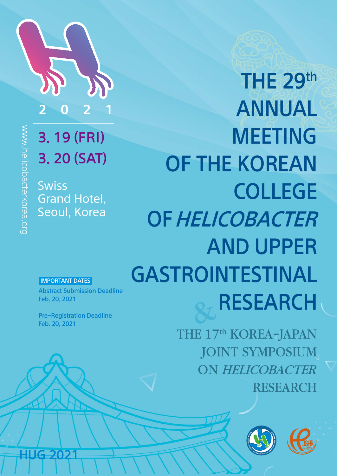

# 3. 19 (FRI) 3. 20 (SAT)

**Swiss** Grand Hotel, Seoul, Korea

www.helicobacterkorea.org

ww.helicobacterkorea.org

# THE 29th ANNUAL MEETING OF THE KOREAN COLLEGE OF HELICOBACTER AND UPPER GASTROINTESTINAL RESEARCH

THE 17<sup>th</sup> KOREA-JAPAN JOINT SYMPOSIUM ON HELICOBACTER RESEARCH





IMPORTANT DATES

**HUG 2021** 

Abstract Submission Deadline Feb. 20, 2021

Pre-Registration Deadline Feb. 20, 2021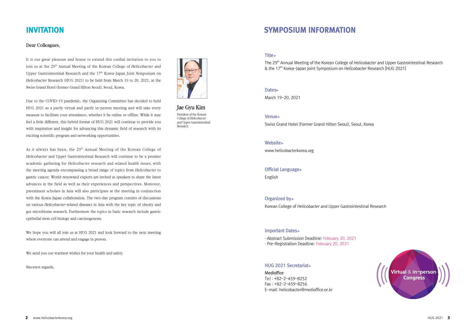#### Dear Colleagues,

It is our great pleasure and honor to extend this cordial invitation to you to join us at the 29<sup>th</sup> Annual Meeting of the Korean College of *Helicobacter* and Upper Gastrointestinal Research and the  $17<sup>th</sup>$  Korea-Japan Joint Symposium on Helicobacter Research (HUG 2021) to be held from March 19 to 20, 2021, at the Swiss Grand Hotel (former Grand Hilton Seoul), Seoul, Korea.

Due to the COVID-19 pandemic, the Organizing Committee has decided to hold HUG 2021 as a partly virtual and partly in-person meeting and will take every measure to facilitate your attendance, whether it be online or offline. While it may feel a little different, this hybrid format of HUG 2021 will continue to provide you with inspiration and insight for advancing this dynamic field of research with its exciting scientific program and networking opportunities.

As it always has been, the 29<sup>th</sup> Annual Meeting of the Korean College of Helicobacter and Upper Gastrointestinal Research will continue to be a premier academic gathering for Helicobacter research and related health issues, with the meeting agenda encompassing a broad range of topics from Helicobacter to gastric cancer. World-renowned experts are invited as speakers to share the latest advances in the field as well as their experiences and perspectives. Moreover, preeminent scholars in Asia will also participate at the meeting in conjunction with the Korea-Japan collaboration. The two-day program consists of discussions on various Helicobacter-related diseases in Asia with the key topic of obesity and gut microbiome research. Furthermore the topics in basic research include gastric epithelial stem cell biology and carcinogenesis.

We hope you will all join us at HUG 2021 and look forward to the next meeting where everyone can attend and engage in person.

We send you our warmest wishes for your health and safety.

Sincerest regards,



Jae Gyu Kim President of the Korean College of Helicobacter and Upper Gastrointestinal Research

## INVITATION SYMPOSIUM INFORMATION

### Title ▶

The 29<sup>th</sup> Annual Meeting of the Korean College of Helicobacter and Upper Gastrointestinal Research & the 17<sup>th</sup> Korea-Japan Joint Symposium on Helicobacter Research [HUG 2021]

#### Dates▶

March 19-20, 2021

Venue▶

Swiss Grand Hotel (Former Grand Hilton Seoul), Seoul, Korea

Website▶

www.helicobacterkorea.org

**Official Language** 

English

#### Organized by▶

Korean College of Helicobacter and Upper Gastrointestinal Research

#### Important Dates▶

· Abstract Submission Deadline: February 20, 2021 · Pre-Registration Deadline: February 20, 2021

#### HUG 2021 Secretariat▶

Medioffice Tel : +82-2-459-8252 Fax : +82-2-459-8256 E-mail: helicobacter@medioffice.or.kr

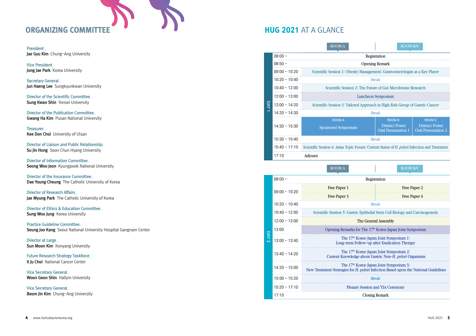## ORGANIZING COMMITTEE

President\_ Jae Gyu Kim Chung-Ang University

Vice President\_ Jong Jae Park Korea University

Secretary General\_ Jun Haeng Lee Sungkyunkwan University

Director of the Scientific Committee\_ Sung Kwan Shin Yonsei University

Director of the Publication Committee\_ **Gwang Ha Kim** Pusan National University

Treasurer\_ Kee Don Choi University of Ulsan

Director of Liaison and Public Relationship\_ Su Jin Hong Soon Chun Hyang University

Director of Information Committee\_ Seong Woo Jeon Kyungpook National University

Director of the Insurance Committee\_ Dae Young Cheung The Catholic University of Korea

Director of Research Affairs\_ Jae Myung Park The Catholic University of Korea

Director of Ethics & Education Committee\_ Sung Woo Jung Korea University

Practice Guideline Committee\_ Seung Joo Kang Seoul National University Hospital Gangnam Center

Director at Large\_ Sun Moon Kim Konyang University

Future Research Strategy Taskforce\_ Il Ju Choi National Cancer Center

Vice Secretary General\_ Woon Geon Shin Hallym University

Vice Secretary General\_ Beom Jin Kim Chung-Ang University

## HUG 2021 AT A GLANCE

DAY 1

|                 | <b>ROOM A</b>                                                                                | <b>ROOM B/C</b>                                      |                                                      |
|-----------------|----------------------------------------------------------------------------------------------|------------------------------------------------------|------------------------------------------------------|
| $08:00 -$       |                                                                                              | Registration                                         |                                                      |
| $08:50 -$       | <b>Opening Remark</b>                                                                        |                                                      |                                                      |
| $09:00 - 10:20$ | Scientific Session 1: Obesity Management: Gastroenterologist as a Key Player                 |                                                      |                                                      |
| $10:20 - 10:40$ |                                                                                              | <b>Break</b>                                         |                                                      |
| $10:40 - 12:00$ | Scientific Session 2: The Future of Gut Microbiome Research                                  |                                                      |                                                      |
| $12:00 - 13:00$ | Luncheon Symposium                                                                           |                                                      |                                                      |
| $13:00 - 14:20$ | Scientific Session 3: Tailored Approach in High Risk Group of Gastric Cancer                 |                                                      |                                                      |
| $14:20 - 14:30$ | <b>Break</b>                                                                                 |                                                      |                                                      |
|                 | <b>ROOM A</b>                                                                                | <b>ROOM B</b>                                        | <b>ROOM C</b>                                        |
| $14:30 - 15:30$ | <b>Sponsored Symposium</b>                                                                   | <b>Distinct Poster</b><br><b>Oral Presentation 1</b> | <b>Distinct Poster</b><br><b>Oral Presentation 2</b> |
| $15:30 - 15:40$ |                                                                                              | <b>Break</b>                                         |                                                      |
| 15:40 - 17:10   | Scientific Session 4: Asian Topic Forum: Current Status of H. pylori Infection and Treatment |                                                      |                                                      |
| 17:10           | Adjourn                                                                                      |                                                      |                                                      |
|                 | <b>ROOM A</b>                                                                                | <b>ROOM B/C</b>                                      |                                                      |
| $08:00 -$       |                                                                                              | Registration                                         |                                                      |

|                                 | $08:00 -$       | Registration                                                                                                                                                                 |                                                                                                                                            |
|---------------------------------|-----------------|------------------------------------------------------------------------------------------------------------------------------------------------------------------------------|--------------------------------------------------------------------------------------------------------------------------------------------|
| Free Paper 1<br>$09:00 - 10:20$ |                 |                                                                                                                                                                              | Free Paper 2                                                                                                                               |
|                                 |                 | Free Paper 3                                                                                                                                                                 | <b>Free Paper 4</b>                                                                                                                        |
| $10:20 - 10:40$<br><b>Break</b> |                 |                                                                                                                                                                              |                                                                                                                                            |
|                                 | $10:40 - 12:00$ | Scientific Session 5: Gastric Epithelial Stem Cell Biology and Carcinogenesis                                                                                                |                                                                                                                                            |
|                                 | $12:00 - 13:00$ | The General Assembly                                                                                                                                                         |                                                                                                                                            |
| ⊂                               | 13:00           | Opening Remarks for The 17 <sup>th</sup> Korea-Japan Joint Symposium<br>The 17 <sup>th</sup> Korea-Japan Joint Symposium 1:<br>Long-term Follow-up after Eradication Therapy |                                                                                                                                            |
|                                 | $13:00 - 13:40$ |                                                                                                                                                                              |                                                                                                                                            |
|                                 | $13:40 - 14:20$ |                                                                                                                                                                              | The 17 <sup>th</sup> Korea-Japan Joint Symposium 2:<br>Current Knowledge about Gastric Non-H, <i>pylori</i> Organisms                      |
|                                 | $14:20 - 15:00$ |                                                                                                                                                                              | The 17 <sup>th</sup> Korea-Japan Joint Symposium 3:<br>New Treatment Strategies for H. pylori Infection Based upon the National Guidelines |
|                                 | $15:00 - 15:20$ |                                                                                                                                                                              | <b>Break</b>                                                                                                                               |
|                                 | $15:20 - 17:10$ |                                                                                                                                                                              | <b>Plenary Session and YIA Ceremony</b>                                                                                                    |
|                                 | 17:10           |                                                                                                                                                                              | <b>Closing Remark</b>                                                                                                                      |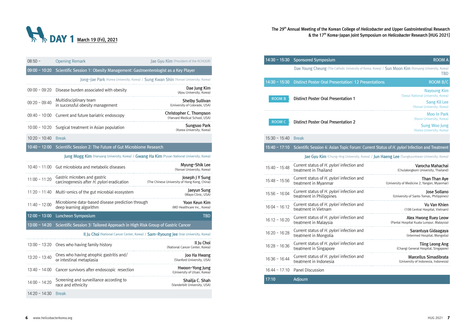

The 29<sup>th</sup> Annual Meeting of the Korean College of Helicobacter and Upper Gastrointestinal Research & the 17<sup>th</sup> Korea-Japan Joint Symposium on *Helicobacter* Research [HUG 2021]

| $08:50 -$       | <b>Opening Remark</b>                                                                       | Jae Gyu Kim (President of the KCHUGR)                                                |
|-----------------|---------------------------------------------------------------------------------------------|--------------------------------------------------------------------------------------|
| $09:00 - 10:20$ | Scientific Session 1: Obesity Management: Gastroenterologist as a Key Player                |                                                                                      |
|                 | Jong-Jae Park (Korea University, Korea) / Sung Kwan Shin (Yonsei University, Korea)         |                                                                                      |
| $09:00 - 09:20$ | Disease burden associated with obesity                                                      | Dae Jung Kim<br>(Ajou University, Korea)                                             |
| $09:20 - 09:40$ | Multidisciplinary team<br>in successful obesity management                                  | <b>Shelby Sullivan</b><br>(University of Colorado, USA)                              |
| $09:40 - 10:00$ | Current and future bariatric endoscopy                                                      | Christopher C. Thompson<br>(Harvard Medical School, USA)                             |
| $10:00 - 10:20$ | Surgical treatment in Asian population                                                      | Sungsoo Park<br>(Korea University, Korea)                                            |
| $10:20 - 10:40$ | <b>Break</b>                                                                                |                                                                                      |
| $10:40 - 12:00$ | Scientific Session 2: The Future of Gut Microbiome Research                                 |                                                                                      |
|                 | Jung Mogg Kim (Hanyang University, Korea) / Gwang Ha Kim (Pusan National University, Korea) |                                                                                      |
| $10:40 - 11:00$ | Gut microbiota and metabolic diseases                                                       | Myung-Shik Lee<br>(Yonsei University, Korea)                                         |
| $11:00 - 11:20$ | Gastric microbes and gastric<br>carcinogenesis after H. pylori eradication                  | Joseph J Y Sung<br>(The Chinese University of Hong Kong, China)                      |
| $11:20 - 11:40$ | Multi-omics of the gut microbial ecosystem                                                  | Jaeyun Sung<br>(Mayo Clinic, USA)                                                    |
| $11:40 - 12:00$ | Microbiome data-based disease prediction through<br>deep learning algorithm                 | Yoon Keun Kim<br>(MD Healthcare Inc., Korea)                                         |
| $12:00 - 13:00$ | Luncheon Symposium                                                                          | <b>TBD</b>                                                                           |
| $13:00 - 14:20$ | Scientific Session 3: Tailored Approach in High Risk Group of Gastric Cancer                |                                                                                      |
|                 |                                                                                             | Il Ju Choi (National Cancer Center, Korea) / Sam-Ryoung Jee (Inje University, Korea) |
|                 | 13:00 - 13:20 Ones who having family history                                                | Il Ju Choi<br>(National Cancer Center, Korea)                                        |
| $13:20 - 13:40$ | Ones who having atrophic gastritis and/<br>or intestinal metaplasia                         | Joo Ha Hwang<br>(Stanford University, USA)                                           |
| $13:40 - 14:00$ | Cancer survivors after endoscopic resection                                                 | Hwoon-Yong Jung<br>(University of Ulsan, Korea)                                      |
| $14:00 - 14:20$ | Screening and surveillance according to<br>race and ethnicity                               | Shailja C. Shah<br>(Vanderbilt University, USA)                                      |
| $14:20 - 14:30$ | <b>Break</b>                                                                                |                                                                                      |

| <b>ROOM A</b>                                                    | 14:30 - 15:30 Sponsored Symposium                                                                     |                 |
|------------------------------------------------------------------|-------------------------------------------------------------------------------------------------------|-----------------|
| <b>TBD</b>                                                       | Dae Young Cheung (The Catholic University of Korea, Korea) / Sun Moon Kim (Konyang University, Korea) |                 |
| <b>ROOM B/C</b>                                                  | <b>Distinct Poster Oral Presentation: 12 Presentations</b>                                            | $14:30 - 15:30$ |
| <b>Nayoung Kim</b><br>(Seoul National University, Korea)         | <b>Distinct Poster Oral Presentation 1</b>                                                            | <b>ROOM B</b>   |
| <b>Sang Kil Lee</b><br>(Yonsei University, Korea)                |                                                                                                       |                 |
| Moo In Park<br>(Kosin University, Korea)                         | <b>Distinct Poster Oral Presentation 2</b>                                                            | <b>ROOM C</b>   |
| <b>Sung Woo Jung</b><br>(Korea University, Korea)                |                                                                                                       |                 |
|                                                                  | <b>Break</b>                                                                                          | $15:30 - 15:40$ |
|                                                                  | Scientific Session 4: Asian Topic Forum: Current Status of H. pylori Infection and Treatment          | $15:40 - 17:10$ |
|                                                                  | Jae Gyu Kim (Chung-Ang University, Korea) / Jun Haeng Lee (Sungkyunkwan University, Korea)            |                 |
| Varocha Mahachai<br>(Chulalongkorn University, Thailand)         | Current status of H. pylori infection and<br>treatment in Thailand                                    | $15:40 - 15:48$ |
| Than Than Aye<br>(University of Medicine 2, Yangon, Myanmar)     | Current status of H. pylori infection and<br>treatment in Myanmar                                     | $15:48 - 15:56$ |
| Jose Sollano<br>(University of Santo Tomas, Philippines)         | Current status of H. pylori infection and<br>treatment in Philippines                                 | $15:56 - 16:04$ |
| Vu Van Khien<br>(108 Central Hospital, Vietnam)                  | Current status of H. pylori infection and<br>treatment in Vietnam                                     | $16:04 - 16:12$ |
| Alex Hwong Ruey Leow<br>(Pantai Hospital Kuala Lumpur, Malaysia) | Current status of H. pylori infection and<br>treatment in Malaysia                                    | $16:12 - 16:20$ |
| Sarantuya Gidaagaya<br>(Intermed Hospital, Mongolia)             | Current status of H. pylori infection and<br>treatment in Mongolia                                    | $16:20 - 16:28$ |
| <b>Tiing Leong Ang</b><br>(Changi General Hospital, Singapore)   | Current status of H. pylori infection and<br>treatment in Singapore                                   | $16:28 - 16:36$ |
| Marcellus Simadibrata<br>(University of Indonesia, Indonesia)    | Current status of H. pylori infection and<br>treatment in Indonesia                                   | $16:36 - 16:44$ |
|                                                                  | <b>Panel Discussion</b>                                                                               | $16:44 - 17:10$ |
|                                                                  | Adjourn                                                                                               | 17:10           |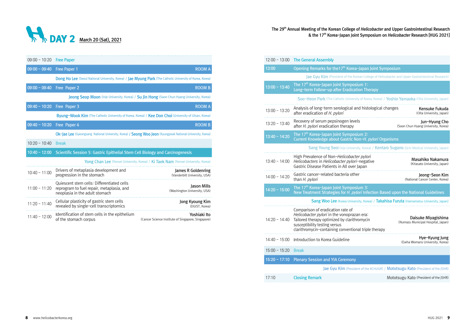

| $09:00 - 10:20$ | <b>Free Paper</b>                                                                                                         |                                                                                            |
|-----------------|---------------------------------------------------------------------------------------------------------------------------|--------------------------------------------------------------------------------------------|
| $09:00 - 09:40$ | Free Paper 1                                                                                                              | <b>ROOM A</b>                                                                              |
|                 | Dong Ho Lee (Seoul National University, Korea) / Jae Myung Park (The Catholic University of Korea, Korea)                 |                                                                                            |
| $09:00 - 09:40$ | Free Paper 2                                                                                                              | <b>ROOM B</b>                                                                              |
|                 |                                                                                                                           | Jeong Seop Moon (Inje University, Korea) / Su Jin Hong (Soon Chun Hyang University, Korea) |
| $09:40 - 10:20$ | Free Paper 3                                                                                                              | <b>ROOM A</b>                                                                              |
|                 | <b>Byung-Wook Kim</b> (The Catholic University of Korea, Korea) / Kee Don Choi (University of Ulsan, Korea)               |                                                                                            |
| $09:40 - 10:20$ | Free Paper 4                                                                                                              | <b>ROOM B</b>                                                                              |
|                 | Ok-Jae Lee (Gyeongsang National University, Korea) / Seong Woo Jeon (Kyungpook National University, Korea)                |                                                                                            |
| $10:20 - 10:40$ | <b>Break</b>                                                                                                              |                                                                                            |
| $10:40 - 12:00$ | Scientific Session 5: Gastric Epithelial Stem Cell Biology and Carcinogenesis                                             |                                                                                            |
|                 |                                                                                                                           | Yong Chan Lee (Yonsei University, Korea) / Ki Taek Nam (Yonsei University, Korea)          |
| $10:40 - 11:00$ | Drivers of metaplasia development and<br>progression in the stomach                                                       | James R Goldenring<br>(Vanderbilt University, USA)                                         |
| $11:00 - 11:20$ | Oujescent stem cells: Differentiated cells<br>reprogram to fuel repair, metaplasia, and<br>neoplasia in the adult stomach | Jason Mills<br>(Washington University, USA)                                                |
| $11:20 - 11:40$ | Cellular plasticity of gastric stem cells<br>revealed by single-cell transcriptomics                                      | Jong Kyoung Kim<br>(DGIST, Korea)                                                          |
| $11:40 - 12:00$ | Identification of stem cells in the epithelium<br>of the stomach corpus                                                   | Yoshiaki Ito<br>(Cancer Science Institute of Singapore, Singapore)                         |

## The 29<sup>th</sup> Annual Meeting of the Korean College of *Helicobacter* and Upper Gastrointestinal Research<br>8 the 17<sup>th</sup> Korea-Japan Joint Symposium on *Helicobacter* Research [HUG 2021]

| $12:00 - 13:00$ | <b>The General Assembly</b>                                                                                                                                                                                               |                                                           |
|-----------------|---------------------------------------------------------------------------------------------------------------------------------------------------------------------------------------------------------------------------|-----------------------------------------------------------|
| 13:00           | Opening Remarks for the 17 <sup>th</sup> Korea-Japan Joint Symposium                                                                                                                                                      |                                                           |
|                 | Jae Gyu Kim (President of the Korean College of Helicobacter and Upper Gastrointestinal Research)                                                                                                                         |                                                           |
| $13:00 - 13:40$ | The 17 <sup>th</sup> Korea-Japan Joint Symposium 1:<br>Long-term Follow-up after Eradication Therapy                                                                                                                      |                                                           |
|                 | Soo-Heon Park (The Catholic University of Korea, Korea) / Yoshio Yamaoka (Oita University, Japan)                                                                                                                         |                                                           |
| $13:00 - 13:20$ | Analysis of long-term serological and histological changes<br>after eradication of H. pylori                                                                                                                              | Kensuke Fukuda<br>(Oita University, Japan)                |
| $13:20 - 13:40$ | Recovery of serum pepsinogen levels<br>after H. pylori eradication therapy                                                                                                                                                | Jun-Hyung Cho<br>(Soon Chun Hyang University, Korea)      |
| $13:40 - 14:20$ | The 17 <sup>th</sup> Korea-Japan Joint Symposium 2:<br>Current Knowledge about Gastric Non-H. pylori Organisms                                                                                                            |                                                           |
|                 | Sang Young Seol (Inje University, Korea) / Kentaro Sugano (Jichi Medical University, Japan)                                                                                                                               |                                                           |
| $13:40 - 14:00$ | High Prevalence of Non-Helicobacter pylori<br>Helicobacters in Helicobacter pylori-negative<br>Gastric Disease Patients in All over Japan                                                                                 | Masahiko Nakamura<br>(Kitasato University, Japan)         |
|                 |                                                                                                                                                                                                                           |                                                           |
| $14:00 - 14:20$ | Gastric cancer-related bacteria other<br>than H. pylori                                                                                                                                                                   | Jeong-Seon Kim<br>(National Cancer Center, Korea)         |
| $14:20 - 15:00$ | The 17 <sup>th</sup> Korea-Japan Joint Symposium 3:<br>New Treatment Strategies for H. pylori Infection Based upon the National Guidelines                                                                                |                                                           |
|                 | Sang Woo Lee (Korea University, Korea) / Takahisa Furuta (Hamamatsu University, Japan)                                                                                                                                    |                                                           |
| $14:20 - 14:40$ | Comparison of eradication rate of<br>Helicobacter pylori in the vonoprazan era:<br>Tailored therapy optimized by clarithromycin<br>susceptibility testing versus<br>clarithromycin-containing conventional triple therapy | Daisuke Miyagishima<br>(Numazu Municipal Hospital, Japan) |
| 14:40 - 15:00   | Introduction to Korea Guideline                                                                                                                                                                                           | Hye-Kyung Jung<br>(Ewha Womans University, Korea)         |
| $15:00 - 15:20$ | <b>Break</b>                                                                                                                                                                                                              |                                                           |
| $15:20 - 17:10$ | <b>Plenary Session and YIA Ceremony</b>                                                                                                                                                                                   |                                                           |
|                 | Jae Gyu Kim (President of the KCHUGR) / Mototsugu Kato (President of the JSHR)                                                                                                                                            |                                                           |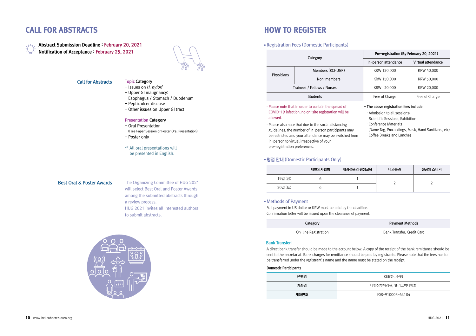## **CALL FOR ABSTRACTS HOW TO REGISTER**



Abstract Submission Deadline : February 20, 2021 Notification of Acceptance : February 25, 2021



#### Call for Abstracts

Topic Category - Issues on H. pylori - Upper GI malignancy: Esophagus / Stomach / Duodenum - Peptic ulcer disease - Other issues on Upper GI tract

### Presentation Category

- Oral Presentation (Free Paper Session or Poster Oral Presentation)
- Poster only
- \*\* All oral presentations will be presented in English.

#### Best Oral & Poster Awards

The Organizing Committee of HUG 2021 will select Best Oral and Poster Awards among the submitted abstracts through a review process. HUG 2021 invites all interested authors to submit abstracts.



● Registration Fees (Domestic Participants)

|  | Category                                                                     |  | Pre-registration (By February 20, 2021) |                    |
|--|------------------------------------------------------------------------------|--|-----------------------------------------|--------------------|
|  |                                                                              |  | In-person attendance                    | Virtual attendance |
|  | Members (KCHUGR)<br>Physicians<br>Non-members<br>Trainees / Fellows / Nurses |  | KRW 120,000                             | KRW 40,000         |
|  |                                                                              |  | KRW 150,000                             | KRW 50,000         |
|  |                                                                              |  | KRW 20,000                              | KRW 20,000         |
|  | <b>Students</b>                                                              |  | Free of Charge                          | Free of Charge     |

#### · Please note that in order to contain the spread of COVID-19 infection, no on-site registration will be allowed.

· Please also note that due to the social distancing guidelines, the number of in-person participants may be restricted and your attendance may be switched from in-person to virtual irrespective of your pre-registration preferences.

#### - The above registration fees include:

- · Admission to all sessions: Scientific Sessions, Exhibition
	- · Conference Materials
	- (Name Tag, Proceedings, Mask, Hand Sanitizers, etc)
	- · Coffee Breaks and Lunches

#### • 평점 안내 (Domestic Participants Only)

|         | 대한의사협회 | 내과전문의 평생교육 | 내과분과 | 전공의 스티커 |
|---------|--------|------------|------|---------|
| 19일 (금) |        |            |      |         |
| 20일 (토) |        |            |      |         |

#### ● Methods of Payment

Full payment in US dollar or KRW must be paid by the deadline. Confirmation letter will be issued upon the clearance of payment.

| Category             | <b>Payment Methods</b>     |
|----------------------|----------------------------|
| On-line Registration | Bank Transfer, Credit Card |

#### ⅠBank TransferⅠ

A direct bank transfer should be made to the account below. A copy of the receipt of the bank remittance should be sent to the secretariat. Bank charges for remittance should be paid by registrants. Please note that the fees has to be transferred under the registrant's name and the name must be stated on the receipt.

#### Domestic Participants

| 은행명  | KEB하나은행          |
|------|------------------|
| 계좌명  | 대한상부위장관, 헬리코박터학회 |
| 계좌번호 | 908-910003-64104 |